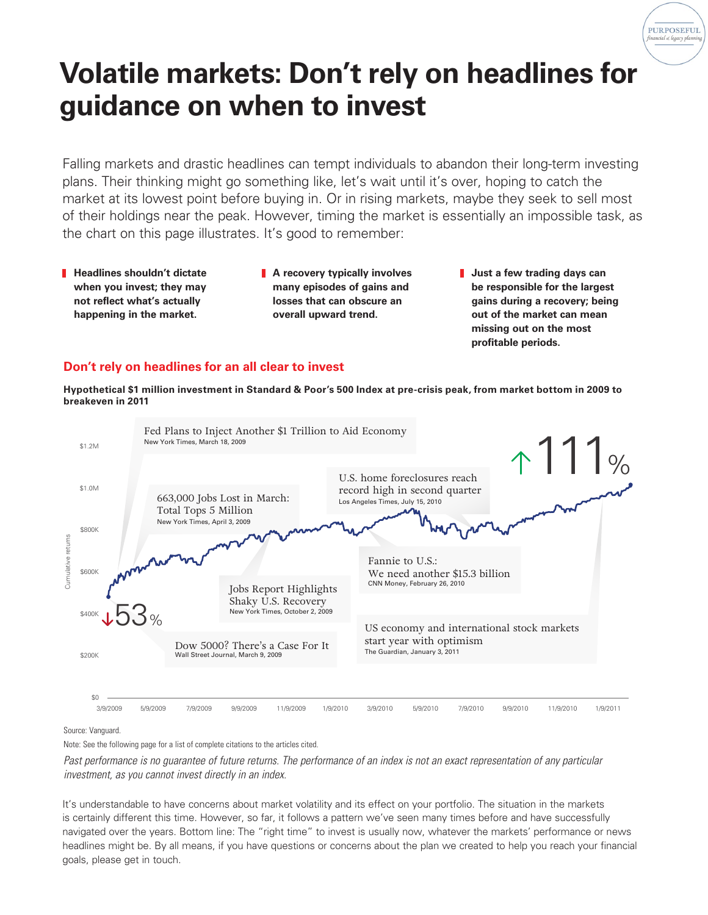

## **Volatile markets: Don't rely on headlines for guidance on when to invest**

Falling markets and drastic headlines can tempt individuals to abandon their long-term investing plans. Their thinking might go something like, let's wait until it's over, hoping to catch the market at its lowest point before buying in. Or in rising markets, maybe they seek to sell most of their holdings near the peak. However, timing the market is essentially an impossible task, as the chart on this page illustrates. It's good to remember:

- **Headlines shouldn't dictate when you invest; they may not reflect what's actually happening in the market.**
- **A recovery typically involves many episodes of gains and losses that can obscure an overall upward trend.**
- **Just a few trading days can be responsible for the largest gains during a recovery; being out of the market can mean missing out on the most profitable periods.**

## **Don't rely on headlines for an all clear to invest**

**Hypothetical \$1 million investment in Standard & Poor's 500 Index at pre-crisis peak, from market bottom in 2009 to breakeven in 2011**



Source: Vanguard.

Note: See the following page for a list of complete citations to the articles cited.

Past performance is no guarantee of future returns. The performance of an index is not an exact representation of any particular *investment, as you cannot invest directly in an index.*

It's understandable to have concerns about market volatility and its effect on your portfolio. The situation in the markets is certainly different this time. However, so far, it follows a pattern we've seen many times before and have successfully navigated over the years. Bottom line: The "right time" to invest is usually now, whatever the markets' performance or news headlines might be. By all means, if you have questions or concerns about the plan we created to help you reach your financial goals, please get in touch.